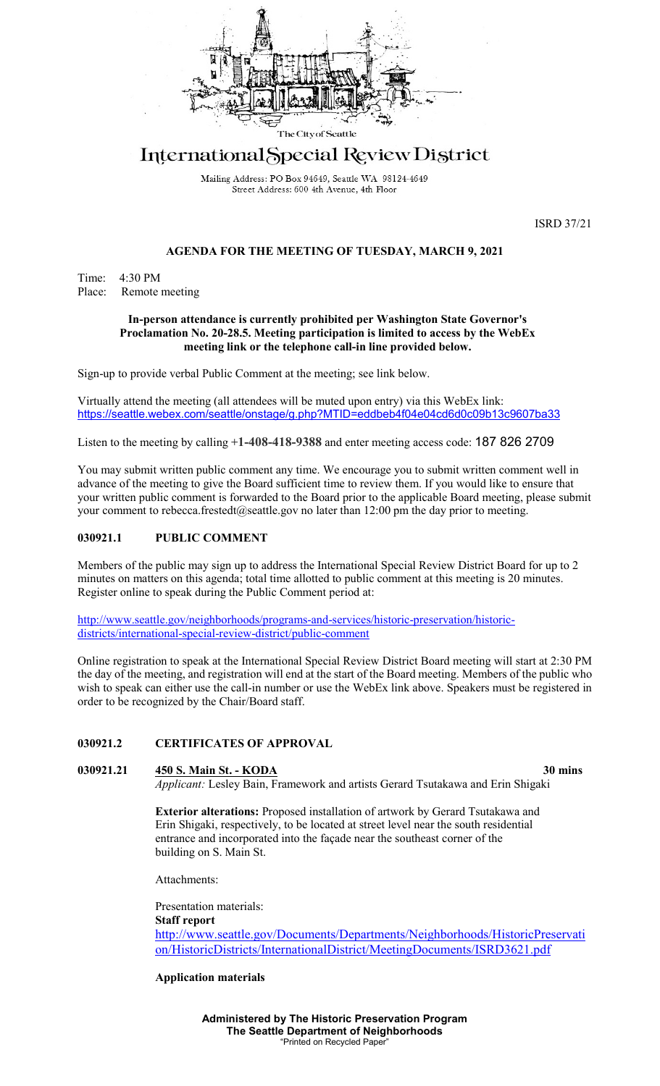

# International Special Review District

Mailing Address: PO Box 94649, Seattle WA 98124-4649 Street Address: 600 4th Avenue, 4th Floor

ISRD 37/21

## **AGENDA FOR THE MEETING OF TUESDAY, MARCH 9, 2021**

Time: 4:30 PM Place: Remote meeting

#### **In-person attendance is currently prohibited per Washington State Governor's Proclamation No. 20-28.5. Meeting participation is limited to access by the WebEx meeting link or the telephone call-in line provided below.**

Sign-up to provide verbal Public Comment at the meeting; see link below.

Virtually attend the meeting (all attendees will be muted upon entry) via this WebEx link[:](https://seattle.webex.com/seattle/onstage/g.php?MTID=eddbeb4f04e04cd6d0c09b13c9607ba33) <https://seattle.webex.com/seattle/onstage/g.php?MTID=eddbeb4f04e04cd6d0c09b13c9607ba33>

Listen to the meeting by calling **+1-408-418-9388** and enter meeting access code: 187 826 2709

You may submit written public comment any time. We encourage you to submit written comment well in advance of the meeting to give the Board sufficient time to review them. If you would like to ensure that your written public comment is forwarded to the Board prior to the applicable Board meeting, please submit your comment to rebecca.frestedt@seattle.gov no later than 12:00 pm the day prior to meeting.

## **030921.1 PUBLIC COMMENT**

Members of the public may sign up to address the International Special Review District Board for up to 2 minutes on matters on this agenda; total time allotted to public comment at this meeting is 20 minutes. Register online to speak during the Public Comment period at:

[http://www.seattle.gov/neighborhoods/programs-and-services/historic-preservation/historic](http://www.seattle.gov/neighborhoods/programs-and-services/historic-preservation/historic-districts/international-special-review-district/public-comment)[districts/international-special-review-district/public-comment](http://www.seattle.gov/neighborhoods/programs-and-services/historic-preservation/historic-districts/international-special-review-district/public-comment)

Online registration to speak at the International Special Review District Board meeting will start at 2:30 PM the day of the meeting, and registration will end at the start of the Board meeting. Members of the public who wish to speak can either use the call-in number or use the WebEx link above. Speakers must be registered in order to be recognized by the Chair/Board staff.

## **030921.2 CERTIFICATES OF APPROVAL**

#### **030921.21 450 S. Main St. - KODA 30 mins**

*Applicant:* Lesley Bain, Framework and artists Gerard Tsutakawa and Erin Shigaki

**Exterior alterations:** Proposed installation of artwork by Gerard Tsutakawa and Erin Shigaki, respectively, to be located at street level near the south residential entrance and incorporated into the façade near the southeast corner of the building on S. Main St.

Attachments:

Presentation materials: **Staff report** [http://www.seattle.gov/Documents/Departments/Neighborhoods/HistoricPreservati](http://www.seattle.gov/Documents/Departments/Neighborhoods/HistoricPreservation/HistoricDistricts/InternationalDistrict/MeetingDocuments/ISRD3621.pdf) [on/HistoricDistricts/InternationalDistrict/MeetingDocuments/ISRD3621.pdf](http://www.seattle.gov/Documents/Departments/Neighborhoods/HistoricPreservation/HistoricDistricts/InternationalDistrict/MeetingDocuments/ISRD3621.pdf)

**Application materials**